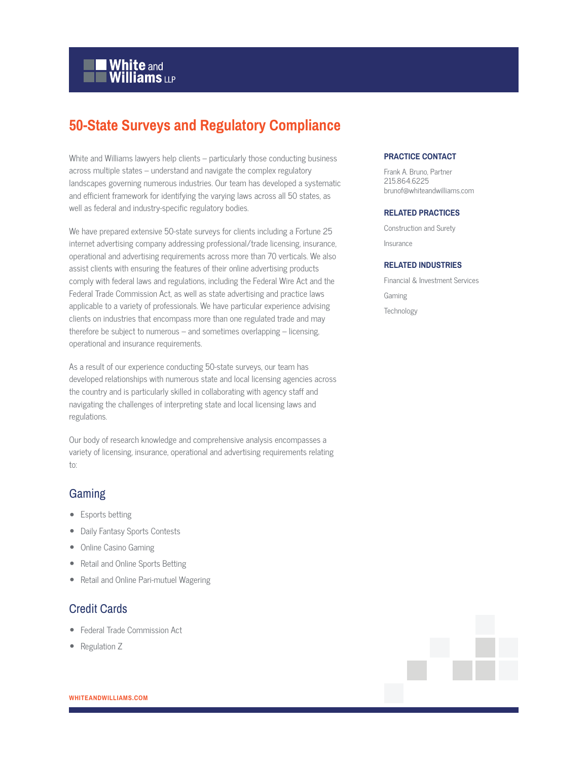# White and<br>Williams LLP

# **50-State Surveys and Regulatory Compliance**

White and Williams lawyers help clients – particularly those conducting business across multiple states – understand and navigate the complex regulatory landscapes governing numerous industries. Our team has developed a systematic and efficient framework for identifying the varying laws across all 50 states, as well as federal and industry-specific regulatory bodies.

We have prepared extensive 50-state surveys for clients including a Fortune 25 internet advertising company addressing professional/trade licensing, insurance, operational and advertising requirements across more than 70 verticals. We also assist clients with ensuring the features of their online advertising products comply with federal laws and regulations, including the Federal Wire Act and the Federal Trade Commission Act, as well as state advertising and practice laws applicable to a variety of professionals. We have particular experience advising clients on industries that encompass more than one regulated trade and may therefore be subject to numerous – and sometimes overlapping – licensing, operational and insurance requirements.

As a result of our experience conducting 50-state surveys, our team has developed relationships with numerous state and local licensing agencies across the country and is particularly skilled in collaborating with agency staff and navigating the challenges of interpreting state and local licensing laws and regulations.

Our body of research knowledge and comprehensive analysis encompasses a variety of licensing, insurance, operational and advertising requirements relating to:

### Gaming

- Esports betting
- Daily Fantasy Sports Contests
- Online Casino Gaming
- Retail and Online Sports Betting
- Retail and Online Pari-mutuel Wagering

## Credit Cards

- Federal Trade Commission Act
- Regulation Z

### **PRACTICE CONTACT**

Frank A. Bruno, Partner 215.864.6225 brunof@whiteandwilliams.com

### **RELATED PRACTICES**

Construction and Surety Insurance

#### **RELATED INDUSTRIES**

Financial & Investment Services Gaming **Technology** 

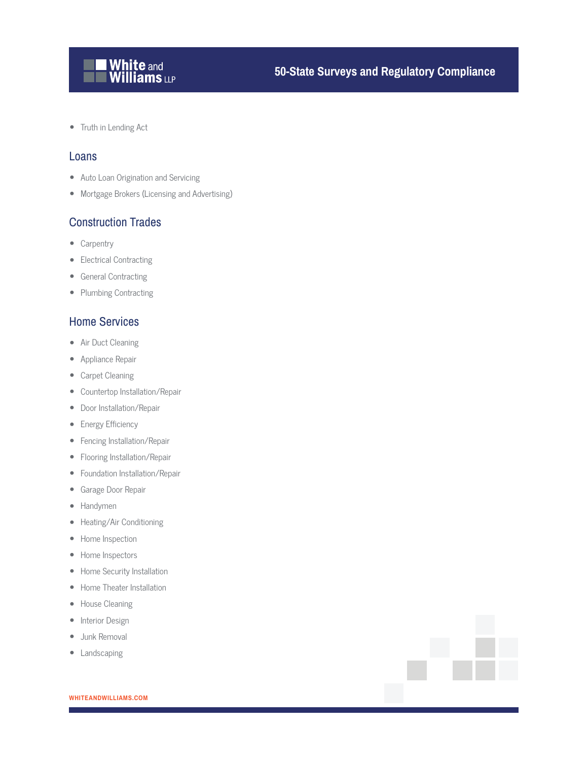

● Truth in Lending Act

### Loans

- Auto Loan Origination and Servicing
- Mortgage Brokers (Licensing and Advertising)

### Construction Trades

- Carpentry
- Electrical Contracting
- General Contracting
- Plumbing Contracting

### Home Services

- Air Duct Cleaning
- Appliance Repair
- Carpet Cleaning
- Countertop Installation/Repair
- Door Installation/Repair
- **•** Energy Efficiency
- Fencing Installation/Repair
- Flooring Installation/Repair
- Foundation Installation/Repair
- Garage Door Repair
- Handymen
- Heating/Air Conditioning
- Home Inspection
- Home Inspectors
- Home Security Installation
- Home Theater Installation
- House Cleaning
- Interior Design
- Junk Removal
- Landscaping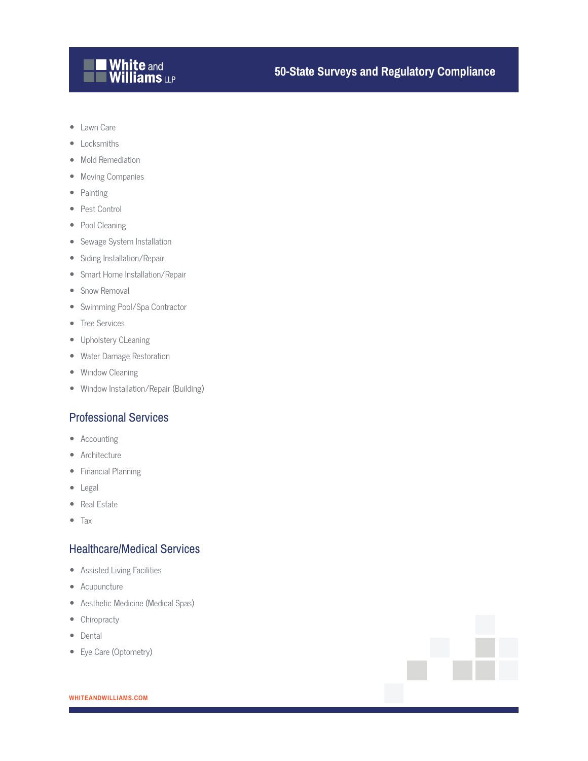# **I** White and<br>Milliams  $up$

- Lawn Care
- Locksmiths
- Mold Remediation
- Moving Companies
- Painting
- Pest Control
- Pool Cleaning
- Sewage System Installation
- Siding Installation/Repair
- Smart Home Installation/Repair
- Snow Removal
- Swimming Pool/Spa Contractor
- Tree Services
- Upholstery CLeaning
- Water Damage Restoration
- Window Cleaning
- Window Installation/Repair (Building)

### Professional Services

- Accounting
- Architecture
- Financial Planning
- Legal
- Real Estate
- Tax

### Healthcare/Medical Services

- Assisted Living Facilities
- Acupuncture
- Aesthetic Medicine (Medical Spas)
- Chiropracty
- Dental
- Eye Care (Optometry)

#### **WHITEANDWILLIAMS.COM**

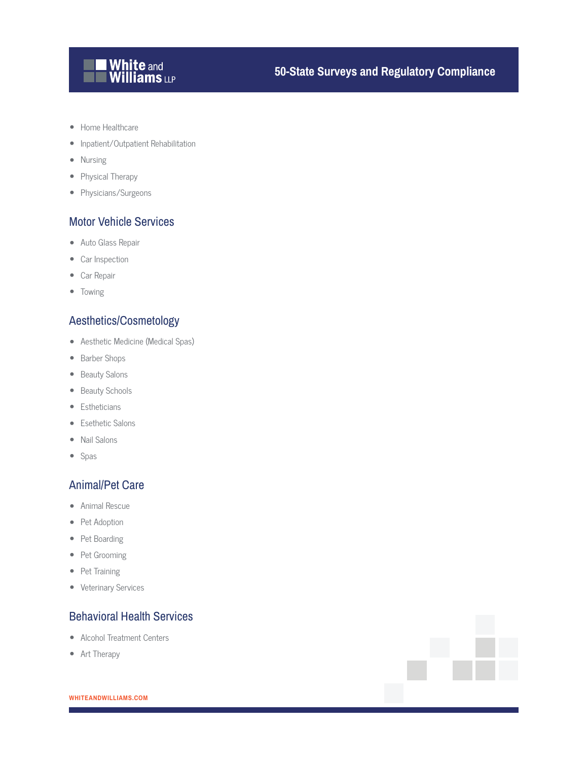

- Home Healthcare
- Inpatient/Outpatient Rehabilitation
- Nursing
- Physical Therapy
- Physicians/Surgeons

## Motor Vehicle Services

- Auto Glass Repair
- Car Inspection
- Car Repair
- Towing

## Aesthetics/Cosmetology

- Aesthetic Medicine (Medical Spas)
- Barber Shops
- Beauty Salons
- Beauty Schools
- Estheticians
- Esethetic Salons
- Nail Salons
- Spas

# Animal/Pet Care

- Animal Rescue
- Pet Adoption
- Pet Boarding
- Pet Grooming
- Pet Training
- Veterinary Services

## Behavioral Health Services

- Alcohol Treatment Centers
- Art Therapy



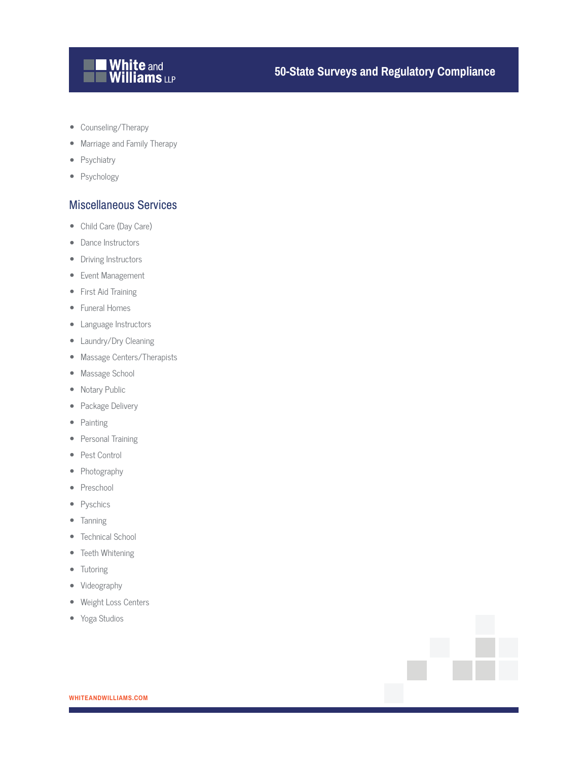

- Counseling/Therapy
- Marriage and Family Therapy
- Psychiatry
- Psychology

## Miscellaneous Services

- Child Care (Day Care)
- Dance Instructors
- Driving Instructors
- Event Management
- First Aid Training
- Funeral Homes
- Language Instructors
- Laundry/Dry Cleaning
- Massage Centers/Therapists
- Massage School
- Notary Public
- Package Delivery
- Painting
- Personal Training
- Pest Control
- Photography
- Preschool
- Pyschics
- Tanning
- Technical School
- Teeth Whitening
- Tutoring
- Videography
- Weight Loss Centers
- Yoga Studios